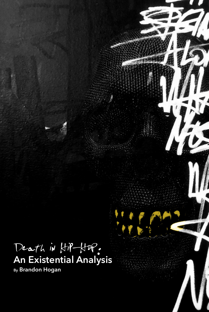# Death in Hip-HoP: **An Existential Analysis**

**By Brandon Hogan**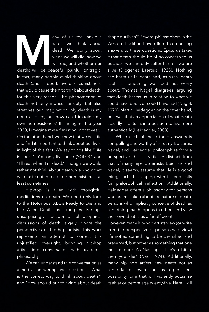any of us feel anxious<br>when we think about<br>death. We worry about<br>when we will die, how we<br>will die, and whether our<br>deaths will be peaceful, painful, or tragic. when we think about death. We worry about when we will die, how we will die, and whether our

deaths will be peaceful, painful, or tragic. In fact, many people avoid thinking about death (and, indeed, avoid circumstances that would cause them to think about death) for this very reason. The phenomenon of death not only induces anxiety, but also stretches our imagination. My death is my non-existence, but how can I imagine my own non-existence? If I imagine the year 3030, I imagine myself existing in that year. On the other hand, we know that we will die and find it important to think about our lives in light of this fact. We say things like "Life is short," "You only live once (YOLO)," and "I'll rest when I'm dead." Though we would rather not think about death, we know that we must contemplate our non-existence, at least sometimes.

Hip-hop is filled with thoughtful meditations on death. We need only look to the Notorious B.I.G's Ready to Die and Life After Death, as examples. Perhaps unsurprisingly, academic philosophical discussions of death largely ignore the perspectives of hip-hop artists. This work represents an attempt to correct this unjustified oversight, bringing hip-hop artists into conversation with academic philosophy.

We can understand this conversation as aimed at answering two questions: "What is the correct way to think about death?" and "How should our thinking about death shape our lives?" Several philosophers in the Western tradition have offered compelling answers to these questions. Epicurus takes it that death should be of no concern to us because we can only suffer harm if we are alive (Diogenes Laertius, 1925). Nothing can harm us in death and, as such, death itself is something we need not worry about. Thomas Nagel disagrees, arguing that death harms us in relation to what we could have been, or could have had (Nagel, 1970). Martin Heidegger, on the other hand, believes that an appreciation of what death actually is puts us in a position to live more authentically (Heidegger, 2008).

While each of these three answers is compelling and worthy of scrutiny, Epicurus, Nagel, and Heidegger philosophize from a perspective that is radically distinct from that of many hip-hop artists. Epicurus and Nagel, it seems, assume that life is a good thing, such that coping with its end calls for philosophical reflection. Additionally, Heidegger offers a philosophy for persons who are mistaken about the nature of death, persons who implicitly conceive of death as something that happens to others and view their own deaths as a far off event.

However, many hip-hop artists view (or write from the perspective of persons who view) life not as something to be cherished and preserved, but rather as something that one must endure. As Nas raps, "Life's a bitch, then you die" (Nas, 1994). Additionally, many hip hop artists view death not as some far off event, but as a persistent possibility, one that will violently actualize itself at or before age twenty-five. Here I will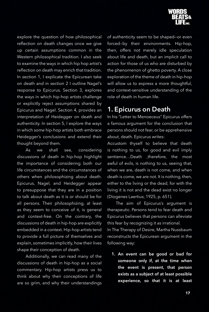

explore the question of how philosophical reflection on death changes once we give up certain assumptions common in the Western philosophical tradition. I also seek to examine the ways in which hip hop artist's reflection on death may enrich that tradition. In section 1, I explicate the Epicurean take on death and in section 2 I outline Nagel's response to Epicurus. Section 3, explores the ways in which hip-hop artists challenge or explicitly reject assumptions shared by Epicurus and Nagel. Section 4, provides an interpretation of Heidegger on death and authenticity. In section 5, I explore the ways in which some hip-hop artists both embrace Heidegger's conclusions and extend their thought beyond them.

As we shall see, considering discussions of death in hip-hop highlight the importance of considering both our life circumstances and the circumstances of others when philosophizing about death. Epicurus, Nagel, and Heidegger appear to presuppose that they are in a position to talk about death as it is or should be for all persons. Their philosophizing, at least as they seem to conceive of it, is general and context-free. On the contrary, the discussions of death in hip-hop are explicitly embedded in a context. Hip-hop artists tend to provide a full picture of themselves and explain, sometimes implicitly, how their lives shape their conception of death.

Additionally, we can read many of the discussions of death in hip-hop as a social commentary. Hip-hop artists press us to think about why their conceptions of life are so grim, and why their understandings

of authenticity seem to be shaped—or even forced—by their environments. Hip-hop, then, offers not merely idle speculation about life and death, but an implicit call to action for those of us who are disturbed by the phenomenon of ghetto poverty. A close exploration of the theme of death in hip-hop will allow us to express a more thoughtful, and context-sensitive understanding of the role of death in human life.

# **1. Epicurus on Death**

In his "Letter to Menoeceus" Epicurus offers a famous argument for the conclusion that persons should not fear, or be apprehensive about, death. Epicurus writes:

Accustom thyself to believe that death is nothing to us, for good and evil imply sentience…Death ,therefore, the most awful of evils, is nothing to us, seeing that, when we are, death is not come, and when death is come, we are not. It is nothing, then, either to the living or the dead, for with the living it is not and the dead exist no longer (Diogenes Laertius, 1925, p. 651).

The aim of Epicurus's argument is therapeutic. Persons tend to fear death and Epicurus believes that persons can alleviate this fear by recognizing it as irrational.

In The Therapy of Desire, Martha Nussbaum reconstructs the Epicurean argument in the following way:

**1. An event can be good or bad for someone only if, at the time when the event is present, that person exists as a subject of at least possible experience, so that it is at least**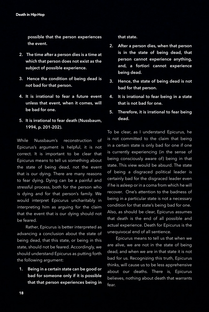**possible that the person experiences the event.**

- **2. The time after a person dies is a time at which that person does not exist as the subject of possible experience.**
- **3. Hence the condition of being dead is not bad for that person.**
- **4. It is irrational to fear a future event unless that event, when it comes, will be bad for one.**
- **5. It is irrational to fear death (Nussbaum, 1994, p. 201-202).**

While Nussbaum's reconstruction of Epicurus's argument is helpful, it is not correct. It is important to be clear that Epicurus means to tell us something about the state of being dead, not the event that is our dying. There are many reasons to fear dying. Dying can be a painful and stressful process, both for the person who is dying and for that person's family. We would interpret Epicurus uncharitably in interpreting him as arguing for the claim that the event that is our dying should not be feared.

Rather, Epicurus is better interpreted as advancing a conclusion about the state of being dead, that this state, or being in this state, should not be feared. Accordingly, we should understand Epicurus as putting forth the following argument:

**1. Being in a certain state can be good or bad for someone only if it is possible that that person experiences being in**  **that state.** 

- **2. After a person dies, when that person is in the state of being dead, that person cannot experience anything, and, a fortiori cannot experience being dead.**
- **3. Hence, the state of being dead is not bad for that person.**
- **4. It is irrational to fear being in a state that is not bad for one.**
- **5. Therefore, it is irrational to fear being dead.**

To be clear, as I understand Epicurus, he is not committed to the claim that being in a certain state is only bad for one if one is currently experiencing (in the sense of being consciously aware of) being in that state. This view would be absurd. The state of being a disgraced political leader is certainly bad for the disgraced leader even if he is asleep or in a coma from which he will recover. One's attention to the badness of being in a particular state is not a necessary condition for that state's being bad for one. Also, as should be clear, Epicurus assumes that death is the end of all possible and actual experience. Death for Epicurus is the unequivocal end of all sentience.

Epicurus means to tell us that when we are alive, we are not in the state of being dead, and when we are in that state it is not bad for us. Recognizing this truth, Epicurus thinks, will cause us to be less apprehensive about our deaths. There is, Epicurus believes, nothing about death that warrants fear.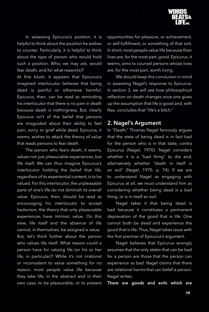

In assessing Epicurus's position, it is helpful to think about the position he wishes to counter. Particularly, it is helpful to think about the type of person who would hold such a position. Who, we may ask, would fear death, and for what reason(s)?

At first blush, it appears that Epicurus's imagined interlocutor believes that being dead is painful or otherwise harmful. Epicurus, then, can be read as reminding his interlocutor that there is no pain in death because death is nothingness. But, clearly Epicurus isn't of the belief that persons are misguided about their ability to feel pain, sorry, or grief while dead. Epicurus, it seems, wishes to attack the theory of value that leads persons to fear death.

The person who fears death, it seems, values not just pleasurable experiences, but life itself. We can thus imagine Epicurus's interlocutor holding the belief that life, regardless of its experiential content, is to be valued. For this interlocutor, the unpleasable parts of one's life do not diminish its overall value. Epicurus, then, should be read as encouraging his interlocutor to accept hedonism, the theory that only pleasurable experiences have intrinsic value. On this view, life itself and the absence of life cannot, in themselves, be assigned a value. But, let's think further about the person who values life itself. What reason could a person have for valuing life (or his or her life, in particular)? While it's not irrational or inconsistent to value something for no reason, most people value life because they take life, in the abstract and in their own case, to be pleasurable, or to present opportunities for pleasure, or achievement, or self-fulfillment, or something of that sort. In short, most people value life because their lives are, for the most part, good. Epicurus, it seems, aims to counsel persons whose lives are, for the most part, worth living.

We should keep this conclusion in mind in assessing Nagel's response to Epicurus. In section 3, we will see how philosophical reflection on death changes once one gives up the assumption that life is good and, with Nas, concludes that "life's a bitch."

#### **2. Nagel's Argument**

In "Death," Thomas Nagel famously argues that the state of being dead is in fact bad for the person who is in that state, contra Epicurus (Nagel, 1970). Nagel considers whether it is a "bad thing" to die and, alternatively whether "death in itself is an evil" (Nagel, 1970, p. 74). If we are to understand Nagel as engaging with Epicurus at all, we must understand him as considering whether being dead is a bad thing, or is in itself an evil.

Nagel takes it that being dead is bad because it constitutes a permanent depravation of the good that is life. One cannot both be dead and experience the good that is life. Thus, Nagel takes issue with the first premise of Epicurus's argument.

Nagel believes that Epicurus wrongly assumes that the only states that can be bad for a person are those that the person can experience as bad. Nagel claims that there are relational harms that can befall a person. Nagel writes:

**There are goods and evils which are**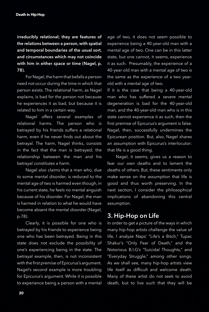**irreducibly relational; they are features of the relations between a person, with spatial and temporal boundaries of the usual sort, and circumstances which may not coincide with him in either space or time (Nagel, p. 78).**

For Nagel, the harm that befalls a person need not occur during the time in which that person exists. The relational harm, as Nagel explains, is bad for the person not because he experiences it as bad, but because it is related to him in a certain way.

Nagel offers several examples of relational harms. The person who is betrayed by his friends suffers a relational harm, even if he never finds out about the betrayal. The harm, Nagel thinks, consists in the fact that the man is betrayed; the relationship between the man and his betrayal constitutes a harm.

Nagel also claims that a man who, due to some mental disorder, is reduced to the mental age of two is harmed even though, in his current state, he feels no mental anguish because of his disorder. For Nagel, the man is harmed in relation to what he would have become absent the mental disorder (Nagel, p.78).

Clearly, it is possible for one who is betrayed by his friends to experience being one who has been betrayed. Being in this state does not exclude the possibility of one's experiencing being in the state. The betrayal example, then, is not inconsistent with the first premise of Epicurus's argument. Nagel's second example is more troubling for Epicurus's argument. While it is possible to experience being a person with a mental age of two, it does not seem possible to experience being a 40-year-old man with a mental age of two. One can be in this latter state, but one cannot, it seems, experience it as such. Presumably, the experience of a 40-year-old man with a mental age of two is the same as the experience of a two yearold with a mental age of two.

If it is the case that being a 40-year-old man who has suffered a severe mental degeneration is bad for the 40-year-old man, and the 40-year-old man who is in this state cannot experience it as such, then the first premise of Epicurus's argument is false. Nagel, then, successfully undermines the Epicurean position. But, also, Nagel shares an assumption with Epicurus's interlocutor: that life is a good thing.

Nagel, it seems, gives us a reason to fear our own deaths and to lament the deaths of others. But, these sentiments only make sense on the assumption that life is good and thus worth preserving. In the next section, I consider the philosophical implications of abandoning this central assumption.

## **3. Hip-Hop on Life**

In order to get a picture of the ways in which many hip-hop artists challenge the value of life, I analyze Naps' "Life's a Bitch," Tupac Shakur's "Only Fear of Death," and the Notorious B.I.G's "Suicidal Thoughts," and "Everyday Struggle," among other songs. As we shall see, many hip-hop artists view life itself as difficult and welcome death. Many of these artist do not seek to avoid death, but to live such that they will be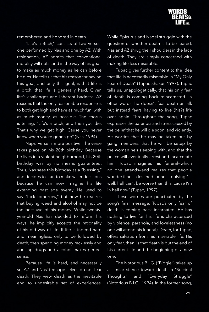

remembered and honored in death.

"Life's a Bitch," consists of two verses: one performed by Nas and one by AZ. With resignation, AZ admits that conventional morality will not stand in the way of his goal: to make as much money as he can before he dies. He tells us that his reason for having this goal, and only this goal, is that life is a bitch, that life is generally hard. Given life's challenges and inherent badness, AZ reasons that the only reasonable response is to both get high and have as much fun, with as much money, as possible. The chorus is telling, "Life's a bitch, and then you die. That's why we get high. Cause you never know when you're gonna go" (Nas, 1994).

Naps' verse is more positive. The verse takes place on his 20th birthday. Because he lives in a violent neighborhood, his 20th birthday was by no means guaranteed. Thus, Nas sees this birthday as a "blessing," and decides to start to make wiser decisions because he can now imagine his life extending past age twenty. He used to say "fuck tomorrow," but now he realizes that buying weed and alcohol may not be the best use of his money. While twentyyear-old Nas has decided to reform his ways, he implicitly accepts the rationality of his old way of life. If life is indeed hard and meaningless, only to be followed by death, then spending money recklessly and abusing drugs and alcohol makes perfect sense.

Because life is hard, and necessarily so, AZ and Nas' teenage selves do not fear death. They view death as the inevitable end to undesirable set of experiences.

While Epicurus and Nagel struggle with the question of whether death is to be feared, Nas and AZ shrug their shoulders in the face of death. They are simply concerned with making life less miserable.

Tupac gives further content to the idea that life is necessarily miserable in "My Only Fear of Death" (Tupac Shakur, 1997). Tupac tells us, unapologetically, that his only fear of death is coming back reincarnated. In other words, he doesn't fear death an all, but instead fears having to live (his?) life over again. Throughout the song, Tupac expresses the paranoia and stress caused by the belief that he will die soon, and violently. He worries that he may be taken out by gang members, that he will be setup by the woman he's sleeping with, and that the police will eventually arrest and incarcerate him. Tupac imagines his funeral—which no one attends—and realizes that people wonder if he is destined for hell, replying "… well, hell can't be worse than this, cause I'm in hell now" (Tupac, 1997).

These worries are punctuated by the song's final message: Tupac's only fear of death is coming back incarnated. He has nothing to live for, his life is characterized by violence, paranoia, and lovelessness (no one will attend his funeral). Death, for Tupac, offers salvation from his miserable life. His only fear, then, is that death is but the end of his current life and the beginning of a new one.

The Notorious B.I.G. ("Biggie") takes up a similar stance toward death in "Suicidal Thoughts" and "Everyday Struggle" (Notorious B.I.G., 1994). In the former song,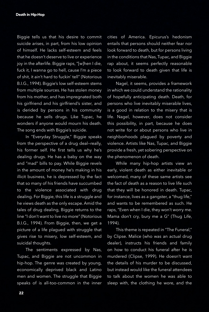Biggie tells us that his desire to commit suicide arises, in part, from his low opinion of himself. He lacks self-esteem and feels that he doesn't deserve to live or experience joy in the afterlife. Biggie raps, "[w]hen I die, fuck it, I wanna go to hell, cause I'm a piece of shit, it ain't hard to fuckin' tell" (Notorious B.I.G., 1994). Biggie's low self-esteem stems from multiple sources. He has stolen money from his mother, and has impregnated both his girlfriend and his girlfriend's sister, and is derided by persons in his community because he sells drugs. Like Tupac, he wonders if anyone would mourn his death. The song ends with Biggie's suicide.

In "Everyday Struggle," Biggie speaks from the perspective of a drug deal-really, his former self. He first tells us why he's dealing drugs. He has a baby on the way and "mad" bills to pay. While Biggie revels in the amount of money he's making in his illicit business, he is depressed by the fact that so many of his friends have succumbed to the violence associated with drug dealing. For Biggie, this life is a struggle and he views death as the only escape. Amid the tales of drug dealing, Biggie returns to the line "I don't want to live no more" (Notorious B.I.G., 1994). From Biggie, then, we get a picture of a life plagued with struggle that gives rise to misery, low self-esteem, and suicidal thoughts.

The sentiments expressed by Nas, Tupac, and Biggie are not uncommon in hip-hop. The genre was created by young, economically deprived black and Latino men and women. The struggle that Biggie speaks of is all-too-common in the inner cities of America. Epicurus's hedonism entails that persons should neither fear nor look forward to death, but for persons living in the conditions that Nas, Tupac, and Biggie rap about, it seems perfectly reasonable to look forward to death given that life is inevitably miserable.

Nagel, it seems, provides a framework in which we could understand the rationality of hopefully anticipating death. Death, for persons who live inevitably miserable lives, is a good in relation to the misery that is life. Nagel, however, does not consider this possibility, in part, because he does not write for or about persons who live in neighborhoods plagued by poverty and violence. Artists like Nas, Tupac, and Biggie provide a fresh, yet sobering perspective on the phenomenon of death.

While many hip-hop artists view an early, violent death as either inevitable or welcomed, many of these same artists see the fact of death as a reason to live life such that they will be honored in death. Tupac, for instance, lives as a gangster, a "thug life," and wants to be remembered as such. He raps, "Even when I die, they won't worry me. Mama don't cry, bury me a G" (Thug Life, 1994).

This theme is repeated in "The Funeral," by Clipse. Malice (who was an actual drug dealer), instructs his friends and family on how to conduct his funeral after he is murdered (Clipse, 1999). He doesn't want the details of his murder to be discussed, but instead would like the funeral attendees to talk about the women he was able to sleep with, the clothing he wore, and the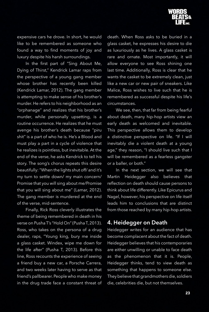

expensive cars he drove. In short, he would like to be remembered as someone who found a way to find moments of joy and luxury despite his harsh surroundings.

In the first part of "Sing About Me, Dying of Thirst," Kendrick Lamar raps from the perspective of a young gang member whose brother has recently been killed (Kendrick Lamar, 2012). The gang member is attempting to make sense of his brother's murder. He refers to his neighborhood as an "orphanage" and realizes that his brother's murder, while personally upsetting, is a routine occurrence. He realizes that he must avenge his brother's death because "piru shit" is a part of who he is. He's a Blood and must play a part in a cycle of violence that he realizes is pointless, but inevitable. At the end of the verse, he asks Kendrick to tell his story. The song's chorus repeats this desire beautifully: "When the lights shut off/ and it's my turn to settle down/ my main concern/ Promise that you will sing about me/Promise that you will sing about me" (Lamar, 2012). The gang member is murdered at the end of the verse, mid-sentence.

Finally, Rick Ross cleverly illustrates the theme of being remembered in death in his verse on Pusha T's "Hold On" (Pusha T, 2013). Ross, who takes on the persona of a drug dealer, raps, "Young king, bury me inside a glass casket. Windex, wipe me down for the life after" (Pusha T, 2013). Before this line, Ross recounts the experience of seeing a friend buy a new car, a Porsche Carrera, and two weeks later having to serve as that friend's pallbearer. People who make money in the drug trade face a constant threat of death. When Ross asks to be buried in a glass casket, he expresses his desire to die as luxuriously as he lives. A glass casket is rare and ornate. Most importantly, it will allow everyone to see Ross shining one last time. Additionally, Ross is clear that he wants the casket to be extremely clean, just like a new car or new pair of sneakers. Like Malice, Ross wishes to live such that he is remembered as successful despite his life's circumstances.

We see, then, that far from being fearful about death, many hip-hop artists view an early death as welcomed and inevitable. This perspective allows them to develop a distinctive perspective on life. "If I will inevitably die a violent death at a young age," they reason, "I should live such that I will be remembered as a fearless gangster or a baller, or both."

In the next section, we will see that Martin Heidegger also believes that reflection on death should cause persons to think about life differently. Like Epicurus and Nagel, however, his perspective on life itself leads him to conclusions that are distinct from those reached by many hip-hop artists.

### **4. Heidegger on Death**

Heidegger writes for an audience that has become complacent about the fact of death. Heidegger believes that his contemporaries are either unwilling or unable to face death as the phenomenon that it is. People, Heidegger thinks, tend to view death as something that happens to someone else. They believe that grandmothers die, soldiers die, celebrities die, but not themselves.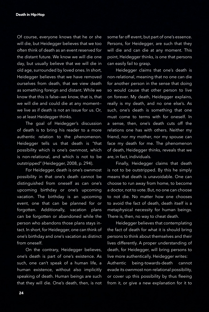Of course, everyone knows that he or she will die, but Heidegger believes that we too often think of death as an event reserved for the distant future. We know we will die one day, but usually believe that we will die in old age, surrounded by loved ones. In short, Heidegger believes that we have removed ourselves from death, that we view death as something foreign and distant. While we know that this is false—we know, that is, that we will die and could die at any moment we live as if death is not an issue for us. Or, so at least Heidegger thinks.

The goal of Heidegger's discussion of death is to bring his reader to a more authentic relation to the phenomenon. Heidegger tells us that death is "that possibility which is one's ownmost, which is non-relational, and which is not to be outstripped" (Heidegger, 2008, p. 294).

For Heidegger, death is one's ownmost possibility in that one's death cannot be distinguished from oneself as can one's upcoming birthday or one's upcoming vacation. The birthday is an upcoming event, one that can be planned for or forgotten. Additionally, vacation plans can be forgotten or abandoned while the person who abandons those plans stays intact. In short, for Heidegger, one can think of one's birthday and one's vacation as distinct from oneself.

On the contrary, Heidegger believes, one's death is part of one's existence. As such, one can't speak of a human life, a human existence, without also implicitly speaking of death. Human beings are such that they will die. One's death, then, is not some far off event, but part of one's essence. Persons, for Heidegger, are such that they will die and can die at any moment. This point, Heidegger thinks, is one that persons can easily fail to grasp.

Heidegger claims that one's death is non-relational, meaning that no one can die for another person in the sense that doing so would cause that other person to live on forever. My death, Heidegger explains, really is my death, and no one else's. As such, one's death is something that one must come to terms with for oneself. In a sense, then, one's death cuts off the relations one has with others. Neither my friend, nor my mother, nor my spouse can face my death for me. The phenomenon of death, Heidegger thinks, reveals that we are, in fact, individuals.

Finally, Heidegger claims that death is not to be outstripped. By this he simply means that death is unavoidable. One can choose to run away from home, to become a doctor, not to vote. But, no one can choose to not die. No matter how one chooses to avoid the fact of death, death itself is a metaphysical necessity for human beings. There is, then, no way to cheat death.

Heidegger believes that contemplating the fact of death for what it is should bring persons to think about themselves and their lives differently. A proper understanding of death, for Heidegger, will bring persons to live more authentically. Heidegger writes: Authentic being-towards-death cannot evade its ownmost non-relational possibility, or cover up this possibility by thus fleeing from it, or give a new explanation for it to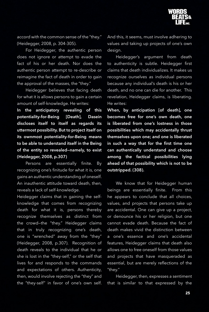

accord with the common sense of the "they." (Heidegger, 2008, p. 304-305).

For Heidegger, the authentic person does not ignore or attempt to evade the fact of his or her death. Nor does the authentic person attempt to re-describe or reimagine the fact of death in order to gain the approval of the masses, the "they."

Heidegger believes that facing death for what it is allows persons to gain a certain amount of self-knowledge. He writes:

**In the anticipatory revealing of this potentiality-for-Being [Death], Dasein discloses itself to itself as regards its uttermost possibility. But to project itself on its ownmost potentiality-for-Being means to be able to understand itself in the Being of the entity so revealed—namely, to exist (Heidegger, 2008, p.307)**

Persons are essentially finite. By recognizing one's finitude for what it is, one gains an authentic understanding of oneself. An inauthentic attitude toward death, then, reveals a lack of self-knowledge.

Heidegger claims that in gaining the selfknowledge that comes from recognizing death for what it is, persons thereby recognize themselves as distinct from the crowd—the "they." Heidegger claims that in truly recognizing one's death, one is "wrenched" away from the "they" (Heidegger, 2008, p.307). Recognition of death reveals to the individual that he or she is lost in the "they-self," or the self that lives for and responds to the commands and expectations of others. Authenticity, then, would involve rejecting the "they" and the "they-self" in favor of one's own self. And this, it seems, must involve adhering to values and taking up projects of one's own design.

Heidegger's argument from death to authenticity is subtle. Heidegger first claims that death individualizes. It makes us recognize ourselves as individual persons because any individual's death is his or her death, and no one can die for another. This revelation, Heidegger claims, is liberating. He writes:

**When, by anticipation [of death], one becomes free for one's own death, one is liberated from one's lostness in those possibilities which may accidentally thrust themselves upon one; and one is liberated in such a way that for the first time one can authentically understand and choose among the factical possibilities lying ahead of that possibility which is not to be outstripped. (308).**

We know that for Heidegger human beings are essentially finite. From this he appears to conclude that all choices, values, and projects that persons take up are accidental. One can give up a project, or denounce his or her religion, but one cannot evade death. Because the fact of death makes vivid the distinction between a one's essence and one's accidental features, Heidegger claims that death also allows one to free oneself from those values and projects that have masqueraded as essential, but are merely reflections of the "they."

Heidegger, then, expresses a sentiment that is similar to that expressed by the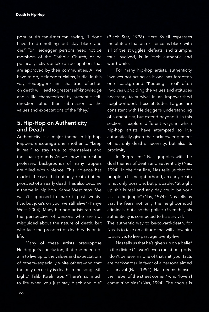popular African-American saying, "I don't have to do nothing but stay black and die." For Heidegger, persons need not be members of the Catholic Church, or be politically active, or take on occupations that are approved by their communities. All we have to do, Heidegger claims, is die. In this way, Heidegger claims that true reflection on death will lead to greater self-knowledge and a life characterized by authentic selfdirection rather than submission to the values and expectations of the "they."

## **5. Hip-Hop on Authenticity and Death**

Authenticity is a major theme in hip-hop. Rappers encourage one another to "keep it real," to stay true to themselves and their backgrounds. As we know, the real or professed backgrounds of many rappers are filled with violence. This violence has made it the case that not only death, but the prospect of an early death, has also become a theme in hip hop. Kanye West raps "We wasn't supposed to make it past twentyfive, but joke's on you, we still alive" (Kanye West, 2004). Many hip-hop artists rap from the perspective of persons who are not misguided about the nature of death, but who face the prospect of death early on in life.

Many of these artists presuppose Heidegger's conclusion, that one need not aim to live up to the values and expectations of others—especially white others—and that the only necessity is death. In the song "8th Light," Talib Kweli raps "There's so much to life when you just stay black and die"

(Black Star, 1998). Here Kweli expresses the attitude that an existence as black, with all of the struggles, defeats, and triumphs thus involved, is in itself authentic and worthwhile.

For many hip-hop artists, authenticity involves not acting as if one has forgotten one's background. "Keeping it real" often involves upholding the values and attitudes necessary to survival in an impoverished neighborhood. These attitudes, I argue, are consistent with Heidegger's understanding of authenticity, but extend beyond it. In this section, I explore different ways in which hip-hop artists have attempted to live authentically given their acknowledgement of not only death's necessity, but also its proximity.

In "Represent," Nas grapples with the dual themes of death and authenticity (Nas, 1994). In the first line, Nas tells us that for people in his neighborhood, an early death is not only possible, but probable: "Straight up shit is real and any day could be your last in the jungle" (Nas, 1994). Nas tells us that he fears not only the neighborhood criminals, but also the police. Given this, his authenticity is connected to his survival.

The authentic way to be-toward-death, for Nas, is to take on attitude that will allow him to survive, to live past age twenty-five.

Nas tells us that he's given up on a belief in the divine ("…won't even run about gods, I don't believe in none of that shit, your facts are backwards), in favor of a persona aimed at survival (Nas, 1994). Nas deems himself the "rebel of the street corner," who "love[s] committing sins" (Nas, 1994). The chorus is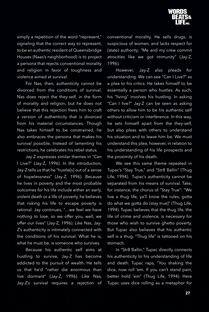

simply a repetition of the word "represent," signaling that the correct way to represent, to be an authentic resident of Queensbridge Houses (Naas's neighborhood) is to project a persona that rejects conventional morality and religion in favor of toughness and violence aimed at survival.

For Nas, then, authenticity cannot be divorced from the conditions of survival. Nas does reject the they-self, in the form of morality and religion, but he does not believe that this rejection frees him to craft a version of authenticity that is divorced from his material circumstances. Though Nas takes himself to be constrained, he also embraces the persona that makes his survival possible. Instead of lamenting his restrictions, he celebrates his rebel status.

Jay-Z expresses similar themes in "Can I Live?" (Jay-Z, 1996). In the introduction, Jay-Z tells us that he "hustle[s] out of a sense of hopelessness" (Jay-Z, 1996). Because he lives in poverty and the most probable outcomes for his life include either an early, violent death or a life of poverty, he believes that risking his life to escape poverty is rational. Jay continues, "…we feel we have nothing to lose, so we offer you, well, we offer our lives" (Jay-Z, 1996). Like Nas, Jay-Z's authenticity is intimately connected with the conditions of his survival. What he is, what he must be, is someone who survives.

Because his authentic self aims at hustling to survive, Jay-Z has become addicted to the pursuit of wealth. He tells us that he'd "rather die enormous than live dormant" (Jay-Z, 1996). Like Nas, Jay-Z's survival requires a rejection of conventional morality. He sells drugs, is suspicious of women, and lacks respect for (state) authority; "Me and my crew commit atrocities like we got immunity" (Jay-Z, 1996).

However, Jay-Z also pleads for understanding. We can see "Can I Live?" as a plea to his critics. He takes himself to be essentially a person who hustles. As such, his "living" involves his hustling. In asking "Can I live?" Jay-Z can be seen as asking others to allow him to be his authentic self without criticism or interference. In this way, he sets himself apart from the they-self, but also pleas with others to understand his situation and to leave him be. We must understand this plea, however, in relation to his understanding of his life prospects and the proximity of his death.

We see this same theme repeated in Tupac's "Stay True," and "Str8 Ballin" (Thug Life, 1994). Tupac's authenticity cannot be separated from his means of survival. Take, for instance, the chorus of "Stay True": "We live a thug life, ya'll know the rules, gotta do what we gotta do (stay true)" (Thug Life, 1994). Tupac believes that the thug life, the life of crime and violence, is necessary for those who wish to survive ghetto poverty. But Tupac also believes that his authentic self is a thug. "Thug life" is tattooed on his stomach.

In "Str8 Ballin," Tupac directly connects his authenticity to his understanding of life and death. Tupac raps, "You shaking the dice, now roll 'em. If you can't stand pain, better hold 'em" (Thug Life, 1994). Here Tupac uses dice rolling as a metaphor for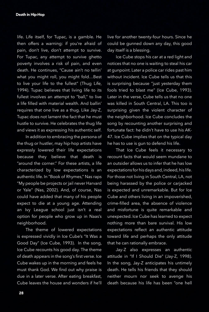life. Life itself, for Tupac, is a gamble. He then offers a warning: if you're afraid of pain, don't live, don't attempt to survive. For Tupac, any attempt to survive ghetto poverty involves a risk of pain, and even death. He continues, "Cause ain't no tellin' what you might roll, you might fold…Best to live your life to the fullest" (Thug Life, 1994). Tupac believes that living life to its fullest involves an attempt to "ball," to live a life filled with material wealth. And ballin' requires that one live as a thug. Like Jay-Z, Tupac does not lament the fact that he must hustle to survive. He celebrates the thug life and views it as expressing his authentic self.

In addition to embracing the persona of the thug or hustler, may hip-hop artists have expressly lowered their life expectations because they believe that death is "around the corner." For these artists, a life characterized by low expectations is an authentic life. In "Book of Rhymes," Nas raps "My people be projects or jail never Harvard or Yale" (Nas, 2002). And, of course, Nas could have added that many of his people expect to die at a young age. Attending an Ivy League school just isn't a real option for people who grow up in Naas's neighborhood.

The theme of lowered expectations is expressed vividly in Ice Cube's "It Was a Good Day" (Ice Cube, 1993). In the song, Ice Cube recounts his good day. The theme of death appears in the song's first verse. Ice Cube wakes up in the morning and feels he must thank God. We find out why praise is due in a later verse. After eating breakfast, Cube leaves the house and wonders if he'll

live for another twenty-four hours. Since he could be gunned down any day, this good day itself is a blessing.

Ice Cube stops his car at a red light and notices that no one is waiting to steal his car at gunpoint. Later a police car rides past him without incident. Ice Cube tells us that this is surprising because "just yesterday them fools tried to blast me" (Ice Cube, 1993). Later in the verse, Cube tells us that no one was killed in South Central, LA. This too is surprising given the violent character of the neighborhood. Ice Cube concludes the song by recounting another surprising and fortunate fact: he didn't have to use his AK-47. Ice Cube implies that on the typical day he has to use is gun to defend his life.

That Ice Cube feels it necessary to recount facts that would seem mundane to an outsider allows us to infer that he has low expectations for his days and, indeed, his life. For those not living in South Central, LA, not being harassed by the police or carjacked is expected and unremarkable. But for Ice Cube and others living in an impoverished, crime-filled area, the absence of violence and misfortune is quite remarkable and unexpected. Ice Cube has learned to expect nothing more than bare survival. His low expectations reflect an authentic attitude toward life and perhaps the only attitude that he can rationally embrace.

Jay-Z also expresses an authentic attitude in "If I Should Die" (Jay-Z, 1998). In the song, Jay-Z anticipates his untimely death. He tells his friends that they should neither mourn nor seek to avenge his death because his life has been "one hell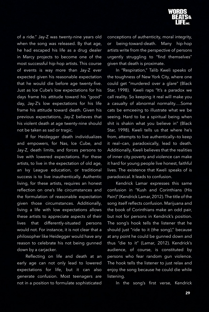

of a ride." Jay-Z was twenty-nine years old when the song was released. By that age, he had escaped his life as a drug dealer in Marcy projects to become one of the most successful hip-hop artists. This course of events is way more than Jay-Z ever expected given his reasonable expectation that he would die before age twenty-five. Just as Ice Cube's low expectations for his days frame his attitude toward his "good" day, Jay-Z's low expectations for his life frame his attitude toward death. Given his previous expectations, Jay-Z believes that his violent death at age twenty-nine should not be taken as sad or tragic.

If for Heidegger death individualizes and empowers, for Nas, Ice Cube, and Jay-Z, death limits, and forces persons to live with lowered expectations. For these artists, to live in the expectation of old age, an Ivy League education, or traditional success is to live inauthentically. Authentic living, for these artists, requires an honest reflection on one's life circumstances and the formulation of reasonable expectation given those circumstances. Additionally, living a life with low expectations allows these artists to appreciate aspects of their lives that differently-situated persons would not. For instance, it is not clear that a philosopher like Heidegger would have any reason to celebrate his not being gunned down by a carjacker.

Reflecting on life and death at an early age can not only lead to lowered expectations for life, but it can also generate confusion. Most teenagers are not in a position to formulate sophisticated

conceptions of authenticity, moral integrity, or being-toward-death. Many hip-hop artists write from the perspective of persons urgently struggling to "find themselves" given that death is proximate.

In "Respiration," Talib Kweli speaks of the toughness of New York City, where one could get "murdered over a glare" (Black Star, 1998). Kweli raps "It's a paradox we call reality. So keeping it real will make you a casualty of abnormal normality….Some cats be emceeing to illustrate what we be seeing. Hard to be a spiritual being when shit is shakin what you believe in" (Black Star, 1998). Kweli tells us that where he's from, attempts to live authentically—to keep it real—can, paradoxically, lead to death. Additionally, Kweli believes that the realities of inner city poverty and violence can make it hard for young people live honest, faithful lives. The existence that Kweli speaks of is paradoxical. It leads to confusion.

Kendrick Lamar expresses this same confusion in "Kush and Corinthians (His Pain)" (Kendrick Lamar, 2012). The title of the song itself reflects confusion. Marijuana and the book of Corinthians make an odd pair, but not for persons in Kendrick's position. The song's hook tells the listener that he should just "ride to it (the song)," because at any point he could be gunned down and thus "die to it" (Lamar, 2012). Kendrick's audience, of course, is constituted by persons who fear random gun violence. The hook tells the listener to just relax and enjoy the song because he could die while listening.

In the song's first verse, Kendrick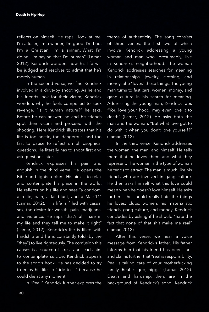reflects on himself. He raps, "look at me, I'm a loser, I'm a winner, I'm good, I'm bad, I'm a Christian, I'm a sinner…What I'm doing, I'm saying that I'm human" (Lamar, 2012). Kendrick wonders how his life will be judged and resolves to admit that he's merely human.

In the second verse, we find Kendrick involved in a drive-by shooting. As he and his friends look for their victim, Kendrick wonders why he feels compelled to seek revenge. "Is it human nature?" he asks. Before he can answer, he and his friends spot their victim and proceed with the shooting. Here Kendrick illustrates that his life is too hectic, too dangerous, and too fast to pause to reflect on philosophical questions. He literally has to shoot first and ask questions later.

Kendrick expresses his pain and anguish in the third verse. He opens the Bible and lights a blunt. His aim is to relax and contemplate his place in the world. He reflects on his life and sees "a condom, a rollie, pain, a fat blunt, and a Mac-11" (Lamar, 2012). His life is filled with casual sex, the desire for wealth, pain, marijuana, and violence. He raps "that's all I see in my life and they tell me to make it right" (Lamar, 2012). Kendrick's life is filled with hardship and he is constantly told (by the "they") to live righteously. The confusion this causes is a source of stress and leads him to contemplate suicide. Kendrick appeals to the song's hook. He has decided to try to enjoy his life, to "ride to it," because he could die at any moment.

In "Real," Kendrick further explores the

theme of authenticity. The song consists of three verses, the first two of which involve Kendrick addressing a young woman and man who, presumably, live in Kendrick's neighborhood. The woman Kendrick addresses searches for meaning in relationships, jewelry, clothing, and money. She "loves" these things. The young man turns to fast cars, women, money, and gang culture in his search for meaning. Addressing the young man, Kendrick raps "You love your hood, may even love it to death" (Lamar, 2012). He asks both the man and the woman, "But what love got to do with it when you don't love yourself?" (Lamar, 2012).

In the third verse, Kendrick addresses the woman, the man, and himself. He tells them that he loves them and what they represent. The woman is the type of woman he tends to attract. The man is much like his friends who are involved in gang culture. He then asks himself what this love could mean when he doesn't love himself. He asks further if he should really hate the things he loves: clubs, women, his materialistic friends, gang culture, and money. Kendrick concludes by asking if he should "hate the fact that none of that shit make me real" (Lamar, 2012).

After this verse, we hear a voice message from Kendrick's father. His father informs him that his friend has been shot and claims further that "real is responsibility. Real is taking care of your motherfucking family. Real is god, nigga" (Lamar, 2012). Death and hardship, then, are in the background of Kendrick's song. Kendrick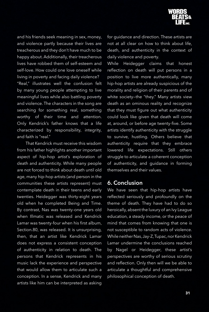

and his friends seek meaning in sex, money, and violence partly because their lives are treacherous and they don't have much to be happy about. Additionally, their treacherous lives have robbed them of self-esteem and self-love. How could one love oneself while living in poverty and facing daily violence? "Real," illustrates well the confusion felt by many young people attempting to live meaningful lives while also battling poverty and violence. The characters in the song are searching for something real, something worthy of their time and attention. Only Kendrick's father knows that a life characterized by responsibility, integrity, and faith is "real."

That Kendrick must receive this wisdom from his father highlights another important aspect of hip-hop artist's exploration of death and authenticity. While many people are not forced to think about death until old age, many hip-hop artists (and person in the communities these artists represent) must contemplate death in their teens and early twenties. Heidegger was thirty-eight years old when he completed Being and Time. By contrast, Nas was twenty-one years old when Illmatic was released and Kendrick Lamar was twenty-four when his first album, Section.80, was released. It is unsurprising, then, that an artist like Kendrick Lamar does not express a consistent conception of authenticity in relation to death. The persons that Kendrick represents in his music lack the experience and perspective that would allow them to articulate such a conception. In a sense, Kendrick and many artists like him can be interpreted as asking

for guidance and direction. These artists are not at all clear on how to think about life, death, and authenticity in the context of daily violence and poverty.

While Heidegger claims that honest reflection on death will put persons in a position to live more authentically, many hip-hop artists are already suspicious of the morality and religion of their parents and of white society—the "they." Many artists view death as an ominous reality and recognize that they must figure out what authenticity could look like given that death will come at, around, or before age twenty-five. Some artists identify authenticity with the struggle to survive, hustling. Others believe that authenticity require that they embrace lowered life expectations. Still others struggle to articulate a coherent conception of authenticity, and guidance in forming themselves and their values.

#### **6. Conclusion**

We have seen that hip-hop artists have reflected seriously and profoundly on the theme of death. They have had to do so heroically, absent the luxury of an Ivy League education, a steady income, or the peace of mind that comes from knowing that one is not susceptible to random acts of violence. While neither Nas, Jay-Z, Tupac, nor Kendrick Lamar undermine the conclusions reached by Nagel or Heidegger, these artist's perspectives are worthy of serious scrutiny and reflection. Only then will we be able to articulate a thoughtful and comprehensive philosophical conception of death.